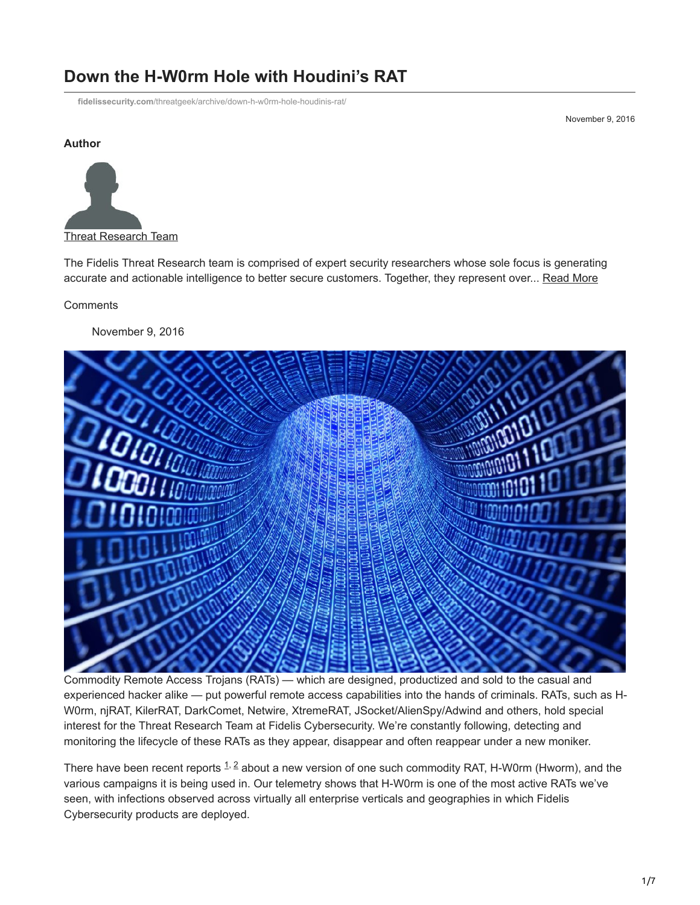# **Down the H-W0rm Hole with Houdini's RAT**

**fidelissecurity.com**[/threatgeek/archive/down-h-w0rm-hole-houdinis-rat/](https://www.fidelissecurity.com/threatgeek/archive/down-h-w0rm-hole-houdinis-rat/)

November 9, 2016

#### **Author**



The Fidelis Threat Research team is comprised of expert security researchers whose sole focus is generating accurate and actionable intelligence to better secure customers. Together, they represent over... [Read More](https://fidelissecurity.com/threatgeek/author/threat-research-team/)

**Comments** 

November 9, 2016



Commodity Remote Access Trojans (RATs) — which are designed, productized and sold to the casual and experienced hacker alike — put powerful remote access capabilities into the hands of criminals. RATs, such as H-W0rm, njRAT, KilerRAT, DarkComet, Netwire, XtremeRAT, JSocket/AlienSpy/Adwind and others, hold special interest for the Threat Research Team at Fidelis Cybersecurity. We're constantly following, detecting and monitoring the lifecycle of these RATs as they appear, disappear and often reappear under a new moniker.

Therehave been recent reports  $1, 2$  about a new version of one such commodity RAT, H-W0rm (Hworm), and the various campaigns it is being used in. Our telemetry shows that H-W0rm is one of the most active RATs we've seen, with infections observed across virtually all enterprise verticals and geographies in which Fidelis Cybersecurity products are deployed.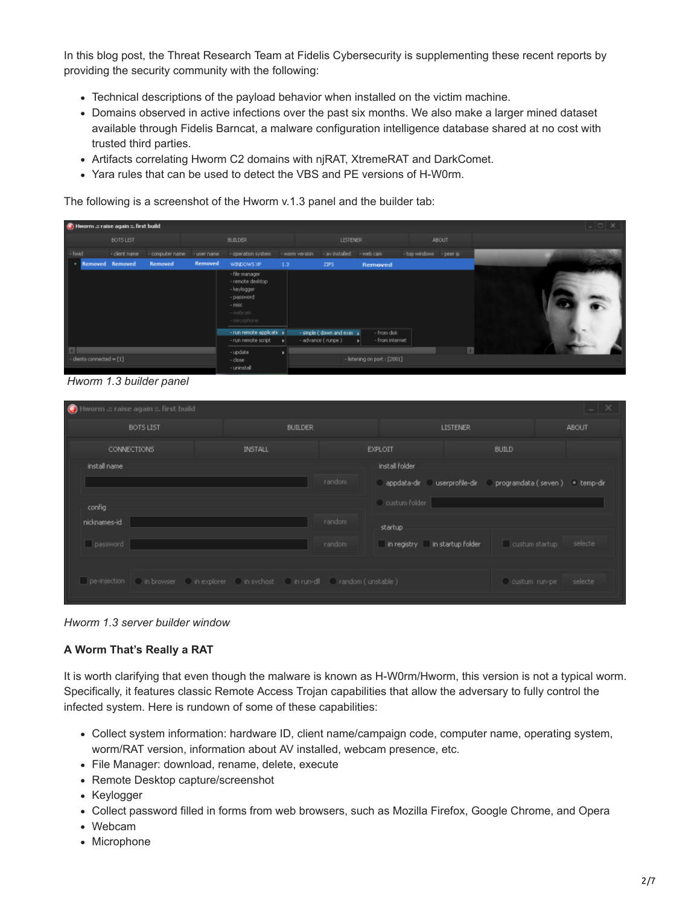In this blog post, the Threat Research Team at Fidelis Cybersecurity is supplementing these recent reports by providing the security community with the following:

- Technical descriptions of the payload behavior when installed on the victim machine.
- Domains observed in active infections over the past six months. We also make a larger mined dataset available through Fidelis Barncat, a malware configuration intelligence database shared at no cost with trusted third parties.
- Artifacts correlating Hworm C2 domains with njRAT, XtremeRAT and DarkComet.
- Yara rules that can be used to detect the VBS and PE versions of H-W0rm.

The following is a screenshot of the Hworm v.1.3 panel and the builder tab:

| Hworm .: raise again :: first build         |               |                 |                |                                                                                                       |                  |                                                   |                                |                         |              |  | $ \Box$ $\times$ |  |
|---------------------------------------------|---------------|-----------------|----------------|-------------------------------------------------------------------------------------------------------|------------------|---------------------------------------------------|--------------------------------|-------------------------|--------------|--|------------------|--|
|                                             | BOTS LIST     |                 |                | <b>BUILDER</b>                                                                                        |                  | <b>LISTENER</b>                                   |                                |                         | <b>ABOUT</b> |  |                  |  |
| - hwid                                      | - client name | - computer name | - user name    | - operation system                                                                                    | - worm version   | - av installed                                    | - web cam                      | - top windows - peer ip |              |  |                  |  |
| <b>Removed Removed</b>                      |               | <b>Removed</b>  | <b>Removed</b> | WINDOWS XP                                                                                            | 1.3 <sub>1</sub> | ZIPS                                              | <b>Removed</b>                 |                         |              |  |                  |  |
|                                             |               |                 |                | - file manager<br>- remote desitop<br>- keylogger<br>- password<br>- misc<br>- webcam<br>- mircophone |                  |                                                   |                                |                         |              |  |                  |  |
|                                             |               |                 |                | - run remote applicati: +<br>- run remote script                                                      |                  | - simple ( down and exec +<br>- advance ( runpe ) | - from disk<br>- from internet |                         |              |  |                  |  |
| $\overline{1}$<br>- clients connected = [1] |               |                 |                | - update<br>- close<br>- uninstall                                                                    |                  |                                                   | - listening on port : [2001]   |                         | ×            |  |                  |  |

 *Hworm 1.3 builder panel*

| $\odot$<br>Hworm .:: raise again ::. first build                                                  |                |        |                               |                                                  | $\blacksquare$     |
|---------------------------------------------------------------------------------------------------|----------------|--------|-------------------------------|--------------------------------------------------|--------------------|
| <b>BOTS LIST</b>                                                                                  | <b>BUILDER</b> |        |                               | <b>LISTENER</b>                                  | ABOUT              |
| CONNECTIONS                                                                                       | <b>INSTALL</b> |        | <b>EXPLOIT</b>                | <b>BUILD</b>                                     |                    |
| install name.                                                                                     |                |        | install folder                |                                                  |                    |
|                                                                                                   |                | random |                               | appdata-dir userprofile-dir programdata (seven ) | $\bullet$ temp-dir |
| config                                                                                            |                |        | C custum folder               |                                                  |                    |
| nicknames-id                                                                                      |                | random | startup                       |                                                  |                    |
| password                                                                                          |                | random | in registry in startup folder | custum startup                                   | selecte            |
|                                                                                                   |                |        |                               |                                                  |                    |
| pe-injection ( ) in browser ( ) in explorer ( ) in sychost ( ) in run-dll ( ) random ( unstable ) |                |        |                               | C custum run-pe                                  | selecte            |
|                                                                                                   |                |        |                               |                                                  |                    |

*Hworm 1.3 server builder window*

#### **A Worm That's Really a RAT**

It is worth clarifying that even though the malware is known as H-W0rm/Hworm, this version is not a typical worm. Specifically, it features classic Remote Access Trojan capabilities that allow the adversary to fully control the infected system. Here is rundown of some of these capabilities:

- Collect system information: hardware ID, client name/campaign code, computer name, operating system, worm/RAT version, information about AV installed, webcam presence, etc.
- File Manager: download, rename, delete, execute
- Remote Desktop capture/screenshot
- Keylogger
- Collect password filled in forms from web browsers, such as Mozilla Firefox, Google Chrome, and Opera
- Webcam
- Microphone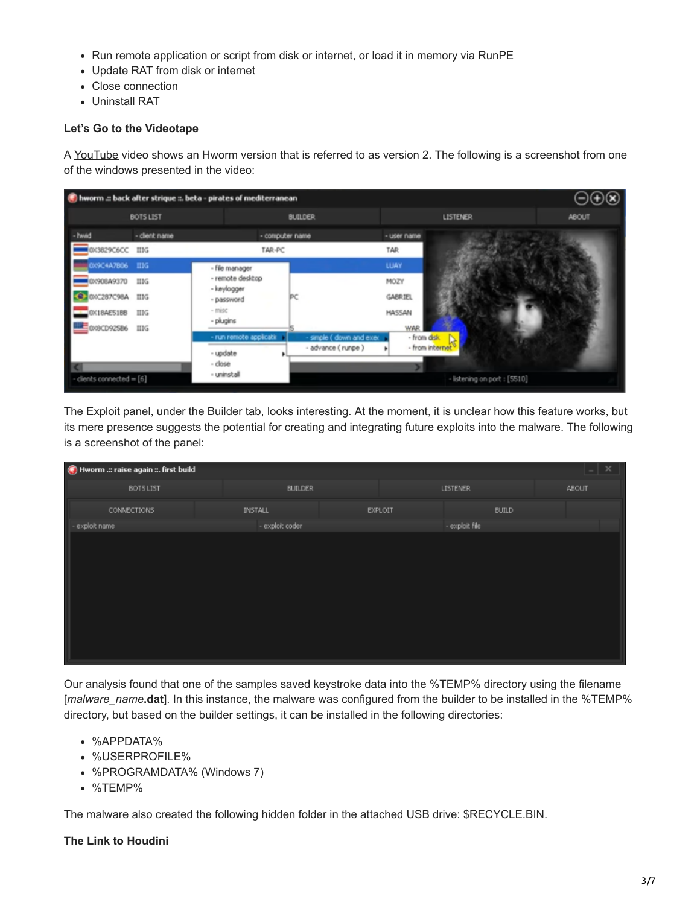- Run remote application or script from disk or internet, or load it in memory via RunPE
- Update RAT from disk or internet
- Close connection
- Uninstall RAT

### **Let's Go to the Videotape**

A [YouTube](https://www.youtube.com/watch?v=Q6KzhQ0C5GM) video shows an Hworm version that is referred to as version 2. The following is a screenshot from one of the windows presented in the video:



The Exploit panel, under the Builder tab, looks interesting. At the moment, it is unclear how this feature works, but its mere presence suggests the potential for creating and integrating future exploits into the malware. The following is a screenshot of the panel:

| $ \times$<br>Hworm .:: raise again ::. first build |                 |         |                 |       |  |  |
|----------------------------------------------------|-----------------|---------|-----------------|-------|--|--|
| <b>BOTS LIST</b>                                   | <b>BUILDER</b>  |         | <b>LISTENER</b> | ABOUT |  |  |
| <b>CONNECTIONS</b>                                 | <b>INSTALL</b>  | EXPLOIT | <b>BUILD</b>    |       |  |  |
| - exploit name                                     | - exploit coder |         | - exploit file  |       |  |  |
|                                                    |                 |         |                 |       |  |  |

Our analysis found that one of the samples saved keystroke data into the %TEMP% directory using the filename [*malware\_name***.dat**]. In this instance, the malware was configured from the builder to be installed in the %TEMP% directory, but based on the builder settings, it can be installed in the following directories:

- %APPDATA%
- %USERPROFILE%
- %PROGRAMDATA% (Windows 7)
- %TEMP%

The malware also created the following hidden folder in the attached USB drive: \$RECYCLE.BIN.

#### **The Link to Houdini**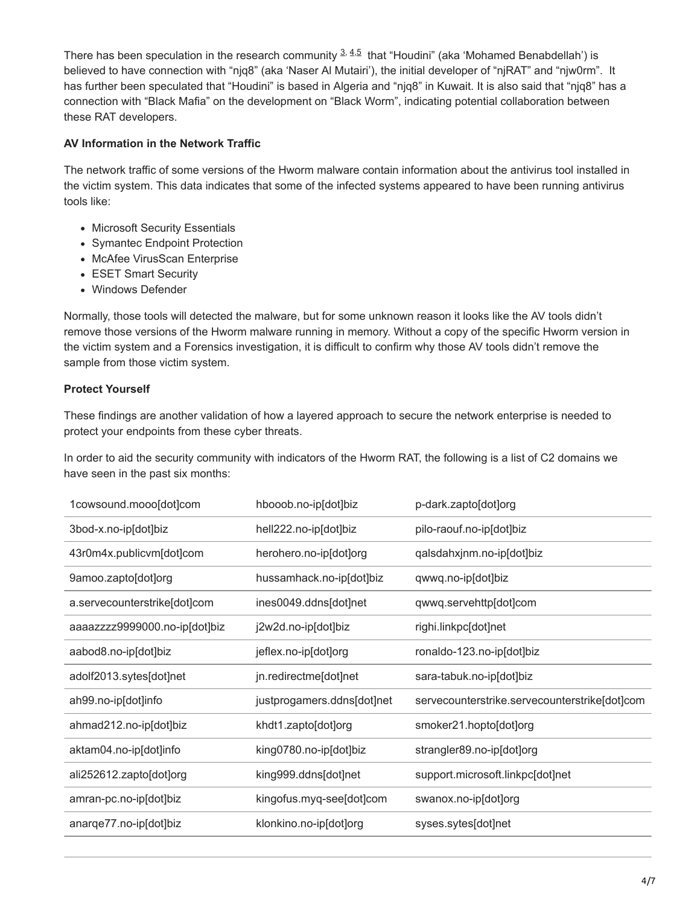There has been speculation in the research community  $\frac{3}{2}$ ,  $\frac{4}{5}$  that "Houdini" (aka 'Mohamed Benabdellah') is believed to have connection with "njq8" (aka 'Naser Al Mutairi'), the initial developer of "njRAT" and "njw0rm". It has further been speculated that "Houdini" is based in Algeria and "njq8" in Kuwait. It is also said that "njq8" has a connection with "Black Mafia" on the development on "Black Worm", indicating potential collaboration between these RAT developers.

#### **AV Information in the Network Traffic**

The network traffic of some versions of the Hworm malware contain information about the antivirus tool installed in the victim system. This data indicates that some of the infected systems appeared to have been running antivirus tools like:

- Microsoft Security Essentials
- Symantec Endpoint Protection
- McAfee VirusScan Enterprise
- ESET Smart Security
- Windows Defender

Normally, those tools will detected the malware, but for some unknown reason it looks like the AV tools didn't remove those versions of the Hworm malware running in memory. Without a copy of the specific Hworm version in the victim system and a Forensics investigation, it is difficult to confirm why those AV tools didn't remove the sample from those victim system.

## **Protect Yourself**

These findings are another validation of how a layered approach to secure the network enterprise is needed to protect your endpoints from these cyber threats.

In order to aid the security community with indicators of the Hworm RAT, the following is a list of C2 domains we have seen in the past six months:

| 1cowsound.mooo[dot]com        | hbooob.no-ip[dot]biz       | p-dark.zapto[dot]org                          |
|-------------------------------|----------------------------|-----------------------------------------------|
| 3bod-x.no-ip[dot]biz          | hell222.no-ip[dot]biz      | pilo-raouf.no-ip[dot]biz                      |
| 43r0m4x.publicvm[dot]com      | herohero.no-ip[dot]org     | qalsdahxjnm.no-ip[dot]biz                     |
| 9amoo.zapto[dot]org           | hussamhack.no-ip[dot]biz   | qwwq.no-ip[dot]biz                            |
| a.servecounterstrike[dot]com  | ines0049.ddns[dot]net      | qwwq.servehttp[dot]com                        |
| aaaazzzz9999000.no-ip[dot]biz | j2w2d.no-ip[dot]biz        | righi.linkpc[dot]net                          |
| aabod8.no-ip[dot]biz          | jeflex.no-ip[dot]org       | ronaldo-123.no-ip[dot]biz                     |
| adolf2013.sytes[dot]net       | jn.redirectme[dot]net      | sara-tabuk.no-ip[dot]biz                      |
| ah99.no-ip[dot]info           | justprogamers.ddns[dot]net | servecounterstrike.servecounterstrike[dot]com |
| ahmad212.no-ip[dot]biz        | khdt1.zapto[dot]org        | smoker21.hopto[dot]org                        |
| aktam04.no-ip[dot]info        | king0780.no-ip[dot]biz     | strangler89.no-ip[dot]org                     |
| ali252612.zapto[dot]org       | king999.ddns[dot]net       | support.microsoft.linkpc[dot]net              |
| amran-pc.no-ip[dot]biz        | kingofus.myq-see[dot]com   | swanox.no-ip[dot]org                          |
| anarge77.no-ip[dot]biz        | klonkino.no-ip[dot]org     | syses.sytes[dot]net                           |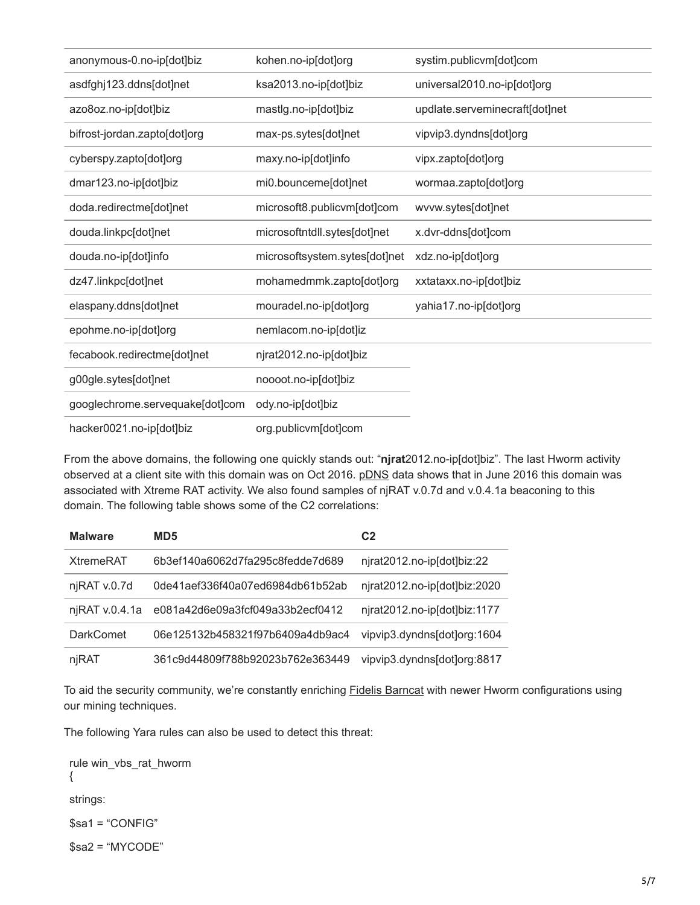| anonymous-0.no-ip[dot]biz       | kohen.no-ip[dot]org           | systim.publicvm[dot]com        |
|---------------------------------|-------------------------------|--------------------------------|
| asdfghj123.ddns[dot]net         | ksa2013.no-ip[dot]biz         | universal2010.no-ip[dot]org    |
| azo8oz.no-ip[dot]biz            | mastlg.no-ip[dot]biz          | updlate.serveminecraft[dot]net |
| bifrost-jordan.zapto[dot]org    | max-ps.sytes[dot]net          | vipvip3.dyndns[dot]org         |
| cyberspy.zapto[dot]org          | maxy.no-ip[dot]info           | vipx.zapto[dot]org             |
| dmar123.no-ip[dot]biz           | mi0.bounceme[dot]net          | wormaa.zapto[dot]org           |
| doda.redirectme[dot]net         | microsoft8.publicvm[dot]com   | wvvw.sytes[dot]net             |
| douda.linkpc[dot]net            | microsoftntdll.sytes[dot]net  | x.dvr-ddns[dot]com             |
| douda.no-ip[dot]info            | microsoftsystem.sytes[dot]net | xdz.no-ip[dot]org              |
| dz47.linkpc[dot]net             | mohamedmmk.zapto[dot]org      | xxtataxx.no-ip[dot]biz         |
| elaspany.ddns[dot]net           | mouradel.no-ip[dot]org        | yahia17.no-ip[dot]org          |
| epohme.no-ip[dot]org            | nemlacom.no-ip[dot]iz         |                                |
| fecabook.redirectme[dot]net     | njrat2012.no-ip[dot]biz       |                                |
| g00gle.sytes[dot]net            | noooot.no-ip[dot]biz          |                                |
| googlechrome.servequake[dot]com | ody.no-ip[dot]biz             |                                |
| hacker0021.no-ip[dot]biz        | org.publicvm[dot]com          |                                |

From the above domains, the following one quickly stands out: "**njrat**2012.no-ip[dot]biz". The last Hworm activity observed at a client site with this domain was on Oct 2016. [pDNS](https://www.virustotal.com/en/domain/njrat2012.no-ip.biz/information/) data shows that in June 2016 this domain was associated with Xtreme RAT activity. We also found samples of njRAT v.0.7d and v.0.4.1a beaconing to this domain. The following table shows some of the C2 correlations:

| <b>Malware</b>   | MD <sub>5</sub>                  | C <sub>2</sub>               |
|------------------|----------------------------------|------------------------------|
| <b>XtremeRAT</b> | 6b3ef140a6062d7fa295c8fedde7d689 | njrat2012.no-ip[dot]biz:22   |
| njRAT v.0.7d     | 0de41aef336f40a07ed6984db61b52ab | njrat2012.no-ip[dot]biz:2020 |
| niRAT v.0.4.1a   | e081a42d6e09a3fcf049a33b2ecf0412 | nirat2012.no-ip[dot]biz:1177 |
| <b>DarkComet</b> | 06e125132b458321f97b6409a4db9ac4 | vipvip3.dyndns[dot]org:1604  |
| njRAT            | 361c9d44809f788b92023b762e363449 | vipvip3.dyndns[dot]org:8817  |

To aid the security community, we're constantly enriching **[Fidelis Barncat](https://fidelissecurity.com/resources/fidelis-barncat)** with newer Hworm configurations using our mining techniques.

The following Yara rules can also be used to detect this threat:

rule win\_vbs\_rat\_hworm {

strings:

\$sa1 = "CONFIG"

\$sa2 = "MYCODE"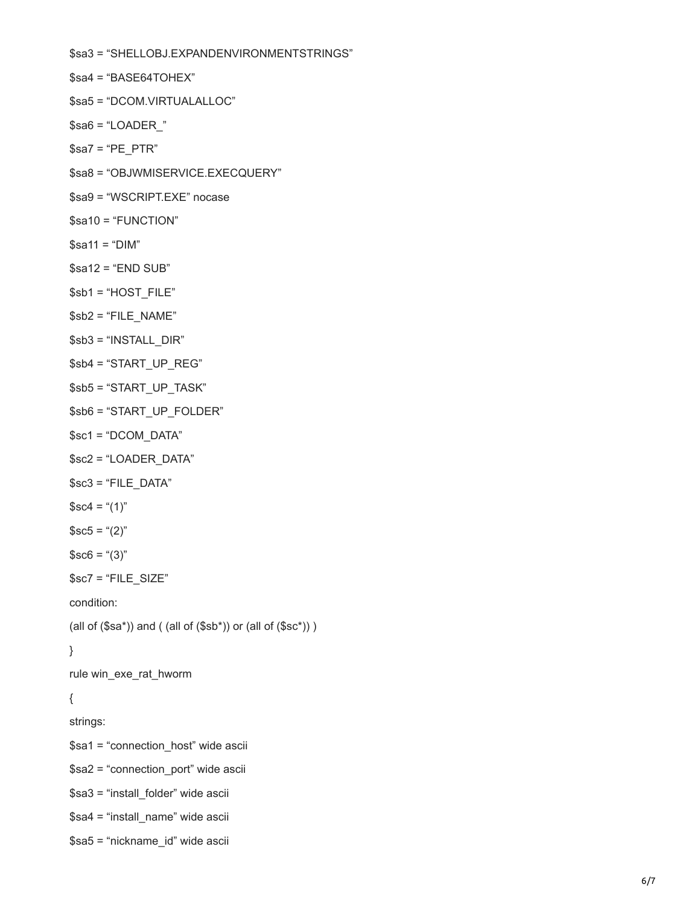\$sa3 = "SHELLOBJ.EXPANDENVIRONMENTSTRINGS"

\$sa4 = "BASE64TOHEX"

\$sa5 = "DCOM.VIRTUALALLOC"

 $$sab = "LOADER"$ 

\$sa7 = "PE\_PTR"

\$sa8 = "OBJWMISERVICE.EXECQUERY"

\$sa9 = "WSCRIPT.EXE" nocase

\$sa10 = "FUNCTION"

 $$sa11 = "DIM"$ 

 $$sa12 = 'END SUB'$ 

\$sb1 = "HOST\_FILE"

 $$sb2 = "FILE NAME"$ 

\$sb3 = "INSTALL\_DIR"

\$sb4 = "START\_UP\_REG"

\$sb5 = "START\_UP\_TASK"

\$sb6 = "START\_UP\_FOLDER"

\$sc1 = "DCOM\_DATA"

\$sc2 = "LOADER\_DATA"

 $$sc3 = "FILE DATA"$ 

 $$sc4 = ((1)$ "

 $$sc5 = ((2)$ "

 $$sc6 = "(3)"$ 

\$sc7 = "FILE\_SIZE"

condition:

(all of  $(\$sa^*)$ ) and ( (all of  $(\$sb^*)$ ) or (all of  $(\$sc^*)$ ) )

}

rule win\_exe\_rat\_hworm

## {

strings:

\$sa1 = "connection\_host" wide ascii

\$sa2 = "connection\_port" wide ascii

\$sa3 = "install\_folder" wide ascii

\$sa4 = "install\_name" wide ascii

\$sa5 = "nickname\_id" wide ascii